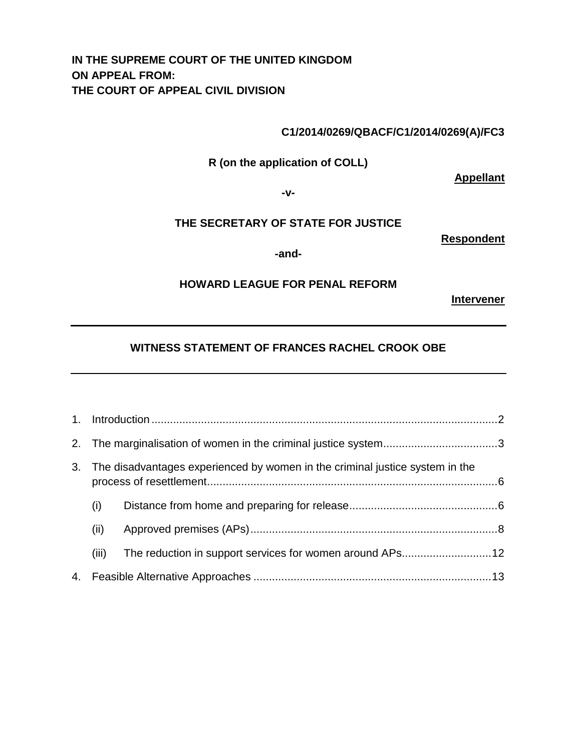# **IN THE SUPREME COURT OF THE UNITED KINGDOM ON APPEAL FROM: THE COURT OF APPEAL CIVIL DIVISION**

### **C1/2014/0269/QBACF/C1/2014/0269(A)/FC3**

**R (on the application of COLL)** 

**Appellant**

**-v-**

#### **THE SECRETARY OF STATE FOR JUSTICE**

**Respondent**

**-and-**

#### **HOWARD LEAGUE FOR PENAL REFORM**

**Intervener**

# **WITNESS STATEMENT OF FRANCES RACHEL CROOK OBE**

|  | 3. The disadvantages experienced by women in the criminal justice system in the |                                                          |  |
|--|---------------------------------------------------------------------------------|----------------------------------------------------------|--|
|  | (i)                                                                             |                                                          |  |
|  | (ii)                                                                            |                                                          |  |
|  | (iii)                                                                           | The reduction in support services for women around APs12 |  |
|  |                                                                                 |                                                          |  |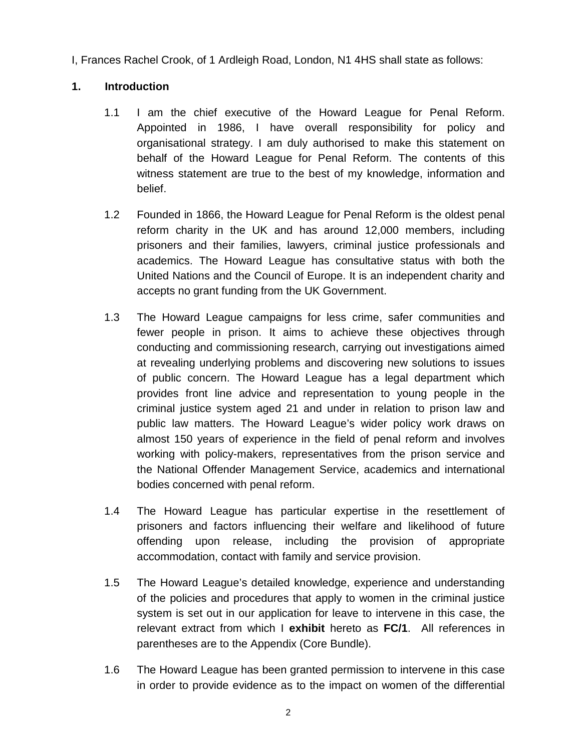I, Frances Rachel Crook, of 1 Ardleigh Road, London, N1 4HS shall state as follows:

### **1. Introduction**

- 1.1 I am the chief executive of the Howard League for Penal Reform. Appointed in 1986, I have overall responsibility for policy and organisational strategy. I am duly authorised to make this statement on behalf of the Howard League for Penal Reform. The contents of this witness statement are true to the best of my knowledge, information and belief.
- 1.2 Founded in 1866, the Howard League for Penal Reform is the oldest penal reform charity in the UK and has around 12,000 members, including prisoners and their families, lawyers, criminal justice professionals and academics. The Howard League has consultative status with both the United Nations and the Council of Europe. It is an independent charity and accepts no grant funding from the UK Government.
- 1.3 The Howard League campaigns for less crime, safer communities and fewer people in prison. It aims to achieve these objectives through conducting and commissioning research, carrying out investigations aimed at revealing underlying problems and discovering new solutions to issues of public concern. The Howard League has a legal department which provides front line advice and representation to young people in the criminal justice system aged 21 and under in relation to prison law and public law matters. The Howard League's wider policy work draws on almost 150 years of experience in the field of penal reform and involves working with policy-makers, representatives from the prison service and the National Offender Management Service, academics and international bodies concerned with penal reform.
- 1.4 The Howard League has particular expertise in the resettlement of prisoners and factors influencing their welfare and likelihood of future offending upon release, including the provision of appropriate accommodation, contact with family and service provision.
- 1.5 The Howard League's detailed knowledge, experience and understanding of the policies and procedures that apply to women in the criminal justice system is set out in our application for leave to intervene in this case, the relevant extract from which I **exhibit** hereto as **FC/1**. All references in parentheses are to the Appendix (Core Bundle).
- 1.6 The Howard League has been granted permission to intervene in this case in order to provide evidence as to the impact on women of the differential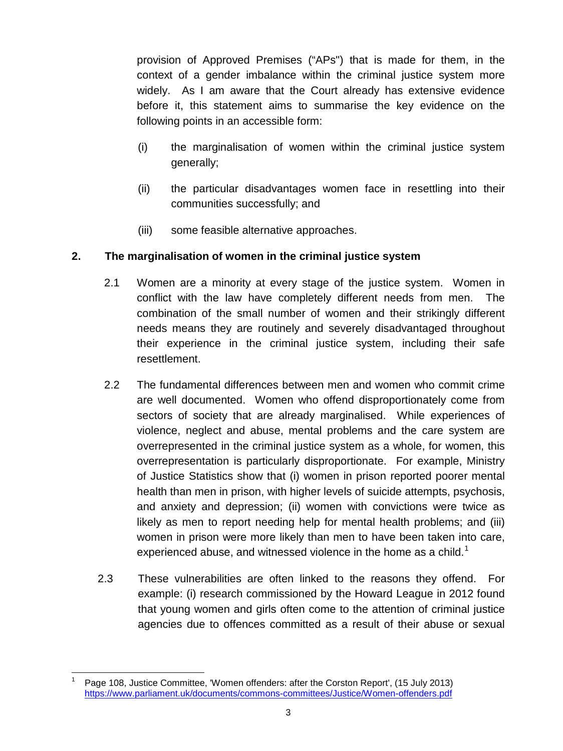provision of Approved Premises ("APs") that is made for them, in the context of a gender imbalance within the criminal justice system more widely. As I am aware that the Court already has extensive evidence before it, this statement aims to summarise the key evidence on the following points in an accessible form:

- (i) the marginalisation of women within the criminal justice system generally;
- (ii) the particular disadvantages women face in resettling into their communities successfully; and
- (iii) some feasible alternative approaches.

## **2. The marginalisation of women in the criminal justice system**

- 2.1 Women are a minority at every stage of the justice system. Women in conflict with the law have completely different needs from men. The combination of the small number of women and their strikingly different needs means they are routinely and severely disadvantaged throughout their experience in the criminal justice system, including their safe resettlement.
- 2.2 The fundamental differences between men and women who commit crime are well documented. Women who offend disproportionately come from sectors of society that are already marginalised. While experiences of violence, neglect and abuse, mental problems and the care system are overrepresented in the criminal justice system as a whole, for women, this overrepresentation is particularly disproportionate. For example, Ministry of Justice Statistics show that (i) women in prison reported poorer mental health than men in prison, with higher levels of suicide attempts, psychosis, and anxiety and depression; (ii) women with convictions were twice as likely as men to report needing help for mental health problems; and (iii) women in prison were more likely than men to have been taken into care, experienced abuse, and witnessed violence in the home as a child.<sup>[1](#page-2-0)</sup>
- 2.3 These vulnerabilities are often linked to the reasons they offend. For example: (i) research commissioned by the Howard League in 2012 found that young women and girls often come to the attention of criminal justice agencies due to offences committed as a result of their abuse or sexual

<span id="page-2-0"></span>Page 108, Justice Committee, 'Women offenders: after the Corston Report', (15 July 2013) <https://www.parliament.uk/documents/commons-committees/Justice/Women-offenders.pdf>  $\overline{\phantom{a}}$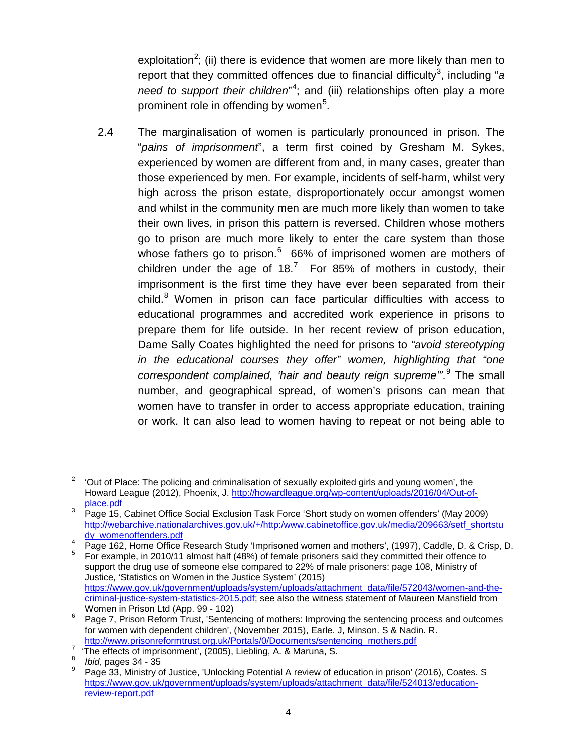exploitation<sup>[2](#page-3-0)</sup>; (ii) there is evidence that women are more likely than men to report that they committed offences due to financial difficulty<sup>[3](#page-3-1)</sup>, including "a *need to support their children*" [4](#page-3-2) ; and (iii) relationships often play a more prominent role in offending by women<sup>[5](#page-3-3)</sup>.

2.4 The marginalisation of women is particularly pronounced in prison. The "*pains of imprisonment*", a term first coined by Gresham M. Sykes, experienced by women are different from and, in many cases, greater than those experienced by men. For example, incidents of self-harm, whilst very high across the prison estate, disproportionately occur amongst women and whilst in the community men are much more likely than women to take their own lives, in prison this pattern is reversed. Children whose mothers go to prison are much more likely to enter the care system than those whose fathers go to prison.<sup>[6](#page-3-4)</sup> 66% of imprisoned women are mothers of children under the age of 18.<sup>[7](#page-3-5)</sup> For 85% of mothers in custody, their imprisonment is the first time they have ever been separated from their child.<sup>[8](#page-3-6)</sup> Women in prison can face particular difficulties with access to educational programmes and accredited work experience in prisons to prepare them for life outside. In her recent review of prison education, Dame Sally Coates highlighted the need for prisons to *"avoid stereotyping in the educational courses they offer" women, highlighting that "one correspondent complained, 'hair and beauty reign supreme'"*. [9](#page-3-7) The small number, and geographical spread, of women's prisons can mean that women have to transfer in order to access appropriate education, training or work. It can also lead to women having to repeat or not being able to

<span id="page-3-0"></span><sup>2</sup> 'Out of Place: The policing and criminalisation of sexually exploited girls and young women', the Howard League (2012), Phoenix, J. http://howardleague.org/wp-content/uploads/2016/04/Out-of-<br>place.pdf  $\overline{a}$ 

<span id="page-3-1"></span><sup>&</sup>lt;sup>3</sup> Page 15, Cabinet Office Social Exclusion Task Force 'Short study on women offenders' (May 2009) [http://webarchive.nationalarchives.gov.uk/+/http:/www.cabinetoffice.gov.uk/media/209663/setf\\_shortstu](http://webarchive.nationalarchives.gov.uk/+/http:/www.cabinetoffice.gov.uk/media/209663/setf_shortstudy_womenoffenders.pdf)<br>dy\_womenoffenders.pdf

<span id="page-3-3"></span><span id="page-3-2"></span>dy\_womenomics.pdf 4 Page 162, Home Office Research Study 'Imprisoned women and mothers', (1997), Caddle, D. & Crisp, D. 5 For example, in 2010/11 almost half (48%) of female prisoners said they committed their offence to support the drug use of someone else compared to 22% of male prisoners: page 108, Ministry of Justice, 'Statistics on Women in the Justice System' (2015) [https://www.gov.uk/government/uploads/system/uploads/attachment\\_data/file/572043/women-and-the](https://www.gov.uk/government/uploads/system/uploads/attachment_data/file/572043/women-and-the-criminal-justice-system-statistics-2015.pdf)[criminal-justice-system-statistics-2015.pdf;](https://www.gov.uk/government/uploads/system/uploads/attachment_data/file/572043/women-and-the-criminal-justice-system-statistics-2015.pdf) see also the witness statement of Maureen Mansfield from<br>Women in Prison Ltd (App. 99 - 102)

<span id="page-3-4"></span><sup>&</sup>lt;sup>6</sup> Page 7, Prison Reform Trust, 'Sentencing of mothers: Improving the sentencing process and outcomes for women with dependent children', (November 2015), Earle. J, Minson. S & Nadin. R.<br>http://www.prisonreformtrust.org.uk/Portals/0/Documents/sentencing mothers.pdf

<span id="page-3-5"></span>For all princess of imprisonments of *all portals* of imprisonment', (2005), Liebling, A. & Maruna, S.<br><sup>8</sup> *Ibid*, pages 34 - 35

<span id="page-3-6"></span>

<span id="page-3-7"></span><sup>9</sup> Page 33, Ministry of Justice, 'Unlocking Potential A review of education in prison' (2016), Coates. S [https://www.gov.uk/government/uploads/system/uploads/attachment\\_data/file/524013/education](https://www.gov.uk/government/uploads/system/uploads/attachment_data/file/524013/education-review-report.pdf)[review-report.pdf](https://www.gov.uk/government/uploads/system/uploads/attachment_data/file/524013/education-review-report.pdf)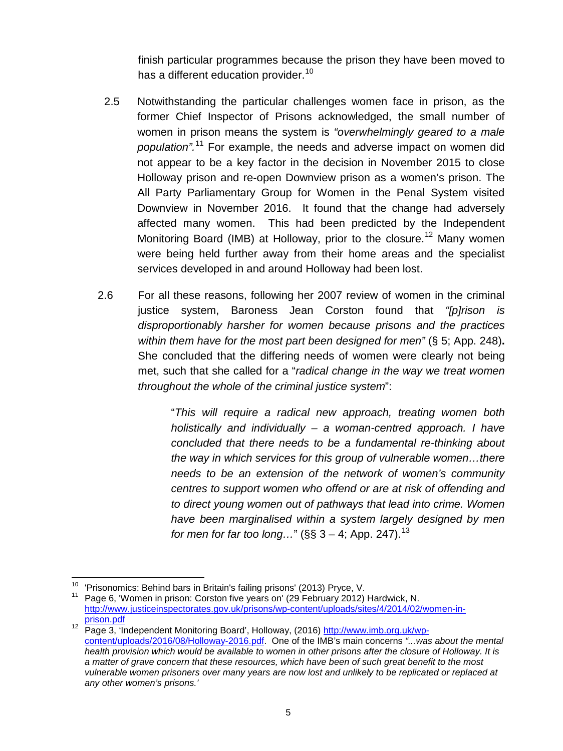finish particular programmes because the prison they have been moved to has a different education provider.<sup>[10](#page-4-0)</sup>

- 2.5 Notwithstanding the particular challenges women face in prison, as the former Chief Inspector of Prisons acknowledged, the small number of women in prison means the system is *"overwhelmingly geared to a male population".*[11](#page-4-1) For example, the needs and adverse impact on women did not appear to be a key factor in the decision in November 2015 to close Holloway prison and re-open Downview prison as a women's prison. The All Party Parliamentary Group for Women in the Penal System visited Downview in November 2016. It found that the change had adversely affected many women. This had been predicted by the Independent Monitoring Board (IMB) at Holloway, prior to the closure.<sup>[12](#page-4-2)</sup> Many women were being held further away from their home areas and the specialist services developed in and around Holloway had been lost.
- 2.6 For all these reasons, following her 2007 review of women in the criminal justice system, Baroness Jean Corston found that *"[p]rison is disproportionably harsher for women because prisons and the practices within them have for the most part been designed for men"* (§ 5; App. 248)**.**  She concluded that the differing needs of women were clearly not being met, such that she called for a "*radical change in the way we treat women throughout the whole of the criminal justice system*":

"*This will require a radical new approach, treating women both holistically and individually – a woman-centred approach. I have concluded that there needs to be a fundamental re-thinking about the way in which services for this group of vulnerable women…there needs to be an extension of the network of women's community centres to support women who offend or are at risk of offending and to direct young women out of pathways that lead into crime. Women have been marginalised within a system largely designed by men for men for far too long…*" (§§ 3 – 4; App. 247). [13](#page-4-3)

<span id="page-4-0"></span><sup>&</sup>lt;sup>10</sup> 'Prisonomics: Behind bars in Britain's failing prisons' (2013) Pryce, V.

<span id="page-4-1"></span><sup>&</sup>lt;sup>11</sup> Page 6. 'Women in prison: Corston five years on' (29 February 2012) Hardwick, N. [http://www.justiceinspectorates.gov.uk/prisons/wp-content/uploads/sites/4/2014/02/women-in-](http://www.justiceinspectorates.gov.uk/prisons/wp-content/uploads/sites/4/2014/02/women-in-prison.pdf)

<span id="page-4-3"></span><span id="page-4-2"></span>[prison.pdf](http://www.justiceinspectorates.gov.uk/prisons/wp-content/uploads/sites/4/2014/02/women-in-prison.pdf)<br>
<sup>12</sup> Page 3, 'Independent Monitoring Board', Holloway, (2016) [http://www.imb.org.uk/wp](http://www.imb.org.uk/wp-content/uploads/2016/08/Holloway-2016.pdf)[content/uploads/2016/08/Holloway-2016.pdf.](http://www.imb.org.uk/wp-content/uploads/2016/08/Holloway-2016.pdf) One of the IMB's main concerns *"...was about the mental health provision which would be available to women in other prisons after the closure of Holloway. It is a matter of grave concern that these resources, which have been of such great benefit to the most vulnerable women prisoners over many years are now lost and unlikely to be replicated or replaced at any other women's prisons.'*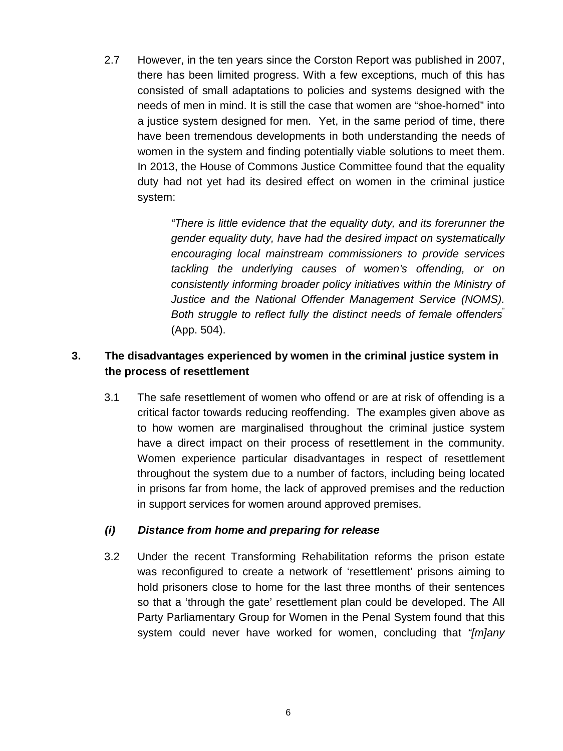2.7 However, in the ten years since the Corston Report was published in 2007, there has been limited progress. With a few exceptions, much of this has consisted of small adaptations to policies and systems designed with the needs of men in mind. It is still the case that women are "shoe-horned" into a justice system designed for men. Yet, in the same period of time, there have been tremendous developments in both understanding the needs of women in the system and finding potentially viable solutions to meet them. In 2013, the House of Commons Justice Committee found that the equality duty had not yet had its desired effect on women in the criminal justice system:

> *"There is little evidence that the equality duty, and its forerunner the gender equality duty, have had the desired impact on systematically encouraging local mainstream commissioners to provide services tackling the underlying causes of women's offending, or on consistently informing broader policy initiatives within the Ministry of Justice and the National Offender Management Service (NOMS). Both struggle to reflect fully the distinct needs of female offenders*" (App. 504).

# **3. The disadvantages experienced by women in the criminal justice system in the process of resettlement**

3.1 The safe resettlement of women who offend or are at risk of offending is a critical factor towards reducing reoffending. The examples given above as to how women are marginalised throughout the criminal justice system have a direct impact on their process of resettlement in the community. Women experience particular disadvantages in respect of resettlement throughout the system due to a number of factors, including being located in prisons far from home, the lack of approved premises and the reduction in support services for women around approved premises.

#### *(i) Distance from home and preparing for release*

3.2 Under the recent Transforming Rehabilitation reforms the prison estate was reconfigured to create a network of 'resettlement' prisons aiming to hold prisoners close to home for the last three months of their sentences so that a 'through the gate' resettlement plan could be developed. The All Party Parliamentary Group for Women in the Penal System found that this system could never have worked for women, concluding that *"[m]any*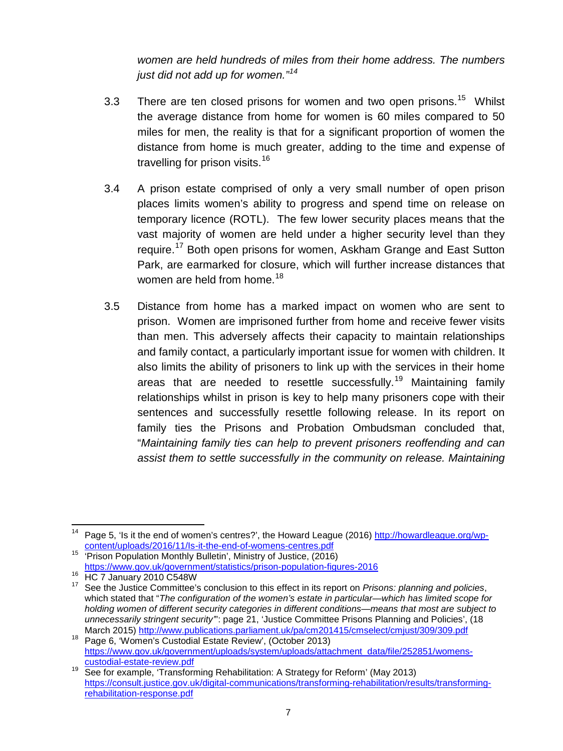*women are held hundreds of miles from their home address. The numbers just did not add up for women."[14](#page-6-0)*

- 3.3 There are ten closed prisons for women and two open prisons.<sup>[15](#page-6-1)</sup> Whilst the average distance from home for women is 60 miles compared to 50 miles for men, the reality is that for a significant proportion of women the distance from home is much greater, adding to the time and expense of travelling for prison visits.<sup>[16](#page-6-2)</sup>
- 3.4 A prison estate comprised of only a very small number of open prison places limits women's ability to progress and spend time on release on temporary licence (ROTL). The few lower security places means that the vast majority of women are held under a higher security level than they require.<sup>[17](#page-6-3)</sup> Both open prisons for women, Askham Grange and East Sutton Park, are earmarked for closure, which will further increase distances that women are held from home.<sup>[18](#page-6-4)</sup>
- 3.5 Distance from home has a marked impact on women who are sent to prison. Women are imprisoned further from home and receive fewer visits than men. This adversely affects their capacity to maintain relationships and family contact, a particularly important issue for women with children. It also limits the ability of prisoners to link up with the services in their home areas that are needed to resettle successfully.<sup>[19](#page-6-5)</sup> Maintaining family relationships whilst in prison is key to help many prisoners cope with their sentences and successfully resettle following release. In its report on family ties the Prisons and Probation Ombudsman concluded that, "*Maintaining family ties can help to prevent prisoners reoffending and can assist them to settle successfully in the community on release. Maintaining*

<span id="page-6-0"></span><sup>&</sup>lt;sup>14</sup> Page 5, 'Is it the end of women's centres?', the Howard League (2016) [http://howardleague.org/wp](http://howardleague.org/wp-content/uploads/2016/11/Is-it-the-end-of-womens-centres.pdf)[content/uploads/2016/11/Is-it-the-end-of-womens-centres.pdf](http://howardleague.org/wp-content/uploads/2016/11/Is-it-the-end-of-womens-centres.pdf) <sup>15</sup> 'Prison Population Monthly Bulletin', Ministry of Justice, (2016) 

<span id="page-6-1"></span><https://www.gov.uk/government/statistics/prison-population-figures-2016><br><sup>16</sup> HC 7 January 2010 C548W

<span id="page-6-3"></span><span id="page-6-2"></span><sup>16</sup> HC 7 January 2010 C548W <sup>17</sup> See the Justice Committee's conclusion to this effect in its report on *Prisons: planning and policies*, which stated that "*The configuration of the women's estate in particular—which has limited scope for holding women of different security categories in different conditions—means that most are subject to*  unnecessarily stringent security": page 21, 'Justice Committee Prisons Planning and Policies', (18<br>March 2015) http://www.publications.parliament.uk/pa/cm201415/cmselect/cmjust/309/309.pdf

<span id="page-6-4"></span><sup>&</sup>lt;sup>18</sup> Page 6, 'Women's Custodial Estate Review', (October 2013) https://www.gov.uk/government/uploads/system/uploads/attachment\_data/file/252851/womens-<br>custodial-estate-review.pdf

<span id="page-6-5"></span><sup>19</sup> See for example, 'Transforming Rehabilitation: A Strategy for Reform' (May 2013) [https://consult.justice.gov.uk/digital-communications/transforming-rehabilitation/results/transforming](https://consult.justice.gov.uk/digital-communications/transforming-rehabilitation/results/transforming-rehabilitation-response.pdf)[rehabilitation-response.pdf](https://consult.justice.gov.uk/digital-communications/transforming-rehabilitation/results/transforming-rehabilitation-response.pdf)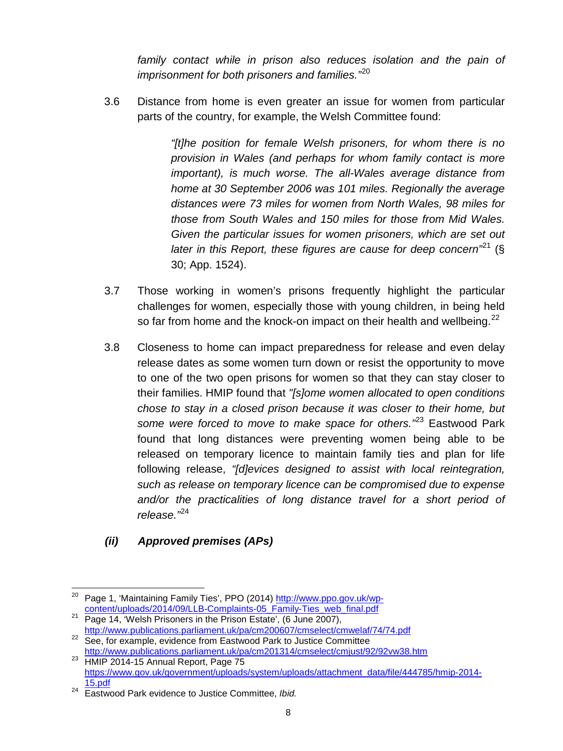*family contact while in prison also reduces isolation and the pain of imprisonment for both prisoners and families."* [20](#page-7-0)

3.6 Distance from home is even greater an issue for women from particular parts of the country, for example, the Welsh Committee found:

> *"[t]he position for female Welsh prisoners, for whom there is no provision in Wales (and perhaps for whom family contact is more important), is much worse. The all-Wales average distance from home at 30 September 2006 was 101 miles. Regionally the average distances were 73 miles for women from North Wales, 98 miles for those from South Wales and 150 miles for those from Mid Wales. Given the particular issues for women prisoners, which are set out later in this Report, these figures are cause for deep concern"*[21](#page-7-1) (§ 30; App. 1524).

- 3.7 Those working in women's prisons frequently highlight the particular challenges for women, especially those with young children, in being held so far from home and the knock-on impact on their health and wellbeing. $^{22}$  $^{22}$  $^{22}$
- 3.8 Closeness to home can impact preparedness for release and even delay release dates as some women turn down or resist the opportunity to move to one of the two open prisons for women so that they can stay closer to their families. HMIP found that *"[s]ome women allocated to open conditions chose to stay in a closed prison because it was closer to their home, but some were forced to move to make space for others."*[23](#page-7-3) Eastwood Park found that long distances were preventing women being able to be released on temporary licence to maintain family ties and plan for life following release, *"[d]evices designed to assist with local reintegration, such as release on temporary licence can be compromised due to expense*  and/or the practicalities of long distance travel for a short period of *release."*[24](#page-7-4)

# *(ii) Approved premises (APs)*

<sup>&</sup>lt;sup>20</sup> Page 1, 'Maintaining Family Ties', PPO (2014) <u>http://www.ppo.gov.uk/wp-</u>  $\overline{\phantom{a}}$ 

<span id="page-7-1"></span><span id="page-7-0"></span>[content/uploads/2014/09/LLB-Complaints-05\\_Family-Ties\\_web\\_final.pdf](http://www.ppo.gov.uk/wp-content/uploads/2014/09/LLB-Complaints-05_Family-Ties_web_final.pdf)<br>
Page 14, 'Welsh Prisoners in the Prison Estate', (6 June 2007),<br>
http://www.publications.parliament.uk/pa/cm200607/cmselect/cmwelaf/74/74.pdf

<span id="page-7-2"></span><sup>&</sup>lt;sup>22</sup> See, for example, evidence from Eastwood Park to Justice Committee

<span id="page-7-3"></span><http://www.publications.parliament.uk/pa/cm201314/cmselect/cmjust/92/92vw38.htm><br><sup>23</sup> HMIP 2014-15 Annual Report, Page 75 [https://www.gov.uk/government/uploads/system/uploads/attachment\\_data/file/444785/hmip-2014-](https://www.gov.uk/government/uploads/system/uploads/attachment_data/file/444785/hmip-2014-15.pdf) [15.pdf](https://www.gov.uk/government/uploads/system/uploads/attachment_data/file/444785/hmip-2014-15.pdf) <sup>24</sup> Eastwood Park evidence to Justice Committee, *Ibid.* 

<span id="page-7-4"></span>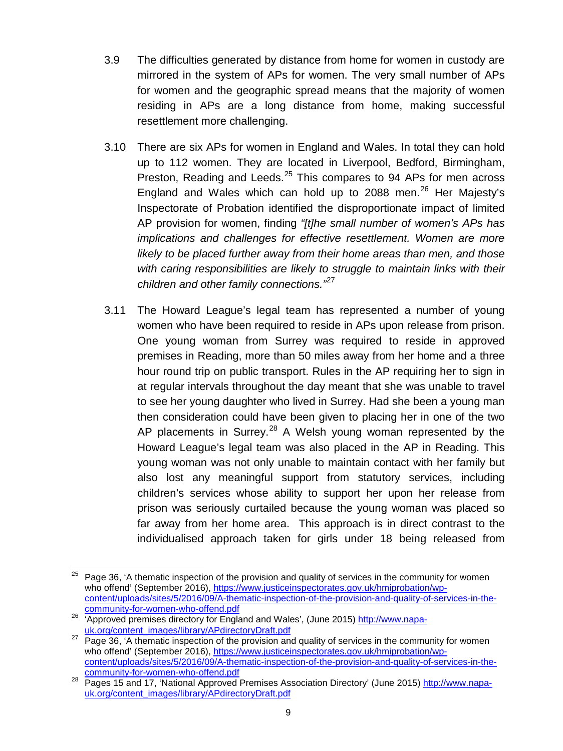- 3.9 The difficulties generated by distance from home for women in custody are mirrored in the system of APs for women. The very small number of APs for women and the geographic spread means that the majority of women residing in APs are a long distance from home, making successful resettlement more challenging.
- 3.10 There are six APs for women in England and Wales. In total they can hold up to 112 women. They are located in Liverpool, Bedford, Birmingham, Preston, Reading and Leeds.<sup>[25](#page-8-0)</sup> This compares to 94 APs for men across England and Wales which can hold up to 2088 men. [26](#page-8-1) Her Majesty's Inspectorate of Probation identified the disproportionate impact of limited AP provision for women, finding *"[t]he small number of women's APs has implications and challenges for effective resettlement. Women are more likely to be placed further away from their home areas than men, and those with caring responsibilities are likely to struggle to maintain links with their children and other family connections."* [27](#page-8-2)
- 3.11 The Howard League's legal team has represented a number of young women who have been required to reside in APs upon release from prison. One young woman from Surrey was required to reside in approved premises in Reading, more than 50 miles away from her home and a three hour round trip on public transport. Rules in the AP requiring her to sign in at regular intervals throughout the day meant that she was unable to travel to see her young daughter who lived in Surrey. Had she been a young man then consideration could have been given to placing her in one of the two AP placements in Surrey.<sup>[28](#page-8-3)</sup> A Welsh young woman represented by the Howard League's legal team was also placed in the AP in Reading. This young woman was not only unable to maintain contact with her family but also lost any meaningful support from statutory services, including children's services whose ability to support her upon her release from prison was seriously curtailed because the young woman was placed so far away from her home area. This approach is in direct contrast to the individualised approach taken for girls under 18 being released from

<span id="page-8-0"></span>Page 36, 'A thematic inspection of the provision and quality of services in the community for women who offend' (September 2016), [https://www.justiceinspectorates.gov.uk/hmiprobation/wp](https://www.justiceinspectorates.gov.uk/hmiprobation/wp-content/uploads/sites/5/2016/09/A-thematic-inspection-of-the-provision-and-quality-of-services-in-the-community-for-women-who-offend.pdf)[content/uploads/sites/5/2016/09/A-thematic-inspection-of-the-provision-and-quality-of-services-in-the-](https://www.justiceinspectorates.gov.uk/hmiprobation/wp-content/uploads/sites/5/2016/09/A-thematic-inspection-of-the-provision-and-quality-of-services-in-the-community-for-women-who-offend.pdf)25

<span id="page-8-1"></span><sup>26 &#</sup>x27;Approved premises directory for England and Wales', (June 2015) http://www.napa-<br>uk.org/content\_images/library/APdirectoryDraft.pdf

<span id="page-8-2"></span><sup>&</sup>lt;sup>27</sup> Page 36, 'A thematic inspection of the provision and quality of services in the community for women who offend' (September 2016), [https://www.justiceinspectorates.gov.uk/hmiprobation/wp](https://www.justiceinspectorates.gov.uk/hmiprobation/wp-content/uploads/sites/5/2016/09/A-thematic-inspection-of-the-provision-and-quality-of-services-in-the-community-for-women-who-offend.pdf)[content/uploads/sites/5/2016/09/A-thematic-inspection-of-the-provision-and-quality-of-services-in-the-](https://www.justiceinspectorates.gov.uk/hmiprobation/wp-content/uploads/sites/5/2016/09/A-thematic-inspection-of-the-provision-and-quality-of-services-in-the-community-for-women-who-offend.pdf)

<span id="page-8-3"></span><sup>28</sup> Dominumly for women-who-offenders. [uk.org/content\\_images/library/APdirectoryDraft.pdf](http://www.napa-uk.org/content_images/library/APdirectoryDraft.pdf)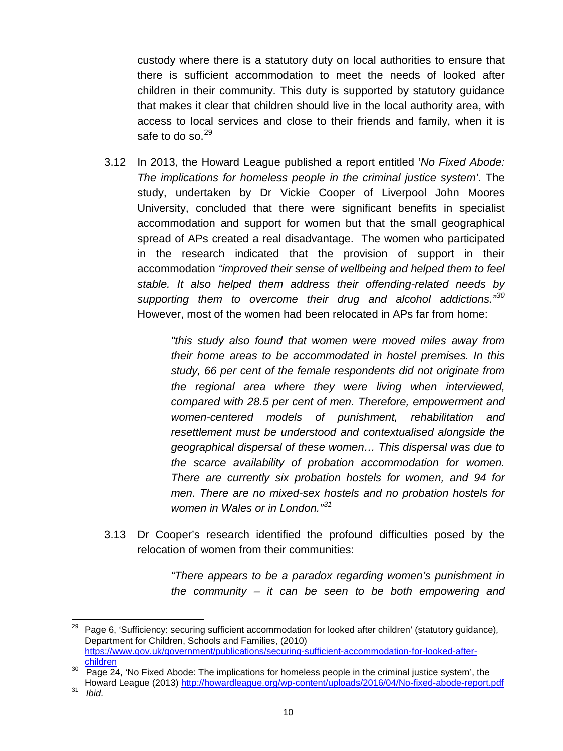custody where there is a statutory duty on local authorities to ensure that there is sufficient accommodation to meet the needs of looked after children in their community. This duty is supported by statutory guidance that makes it clear that children should live in the local authority area, with access to local services and close to their friends and family, when it is safe to do so. $^{29}$  $^{29}$  $^{29}$ 

3.12 In 2013, the Howard League published a report entitled '*No Fixed Abode: The implications for homeless people in the criminal justice system'*. The study, undertaken by Dr Vickie Cooper of Liverpool John Moores University, concluded that there were significant benefits in specialist accommodation and support for women but that the small geographical spread of APs created a real disadvantage. The women who participated in the research indicated that the provision of support in their accommodation *"improved their sense of wellbeing and helped them to feel stable. It also helped them address their offending-related needs by supporting them to overcome their drug and alcohol addictions."[30](#page-9-1)* However, most of the women had been relocated in APs far from home:

> *"this study also found that women were moved miles away from their home areas to be accommodated in hostel premises. In this study, 66 per cent of the female respondents did not originate from the regional area where they were living when interviewed, compared with 28.5 per cent of men. Therefore, empowerment and women-centered models of punishment, rehabilitation and resettlement must be understood and contextualised alongside the geographical dispersal of these women… This dispersal was due to the scarce availability of probation accommodation for women. There are currently six probation hostels for women, and 94 for men. There are no mixed-sex hostels and no probation hostels for women in Wales or in London." [31](#page-9-2)*

3.13 Dr Cooper's research identified the profound difficulties posed by the relocation of women from their communities:

> *"There appears to be a paradox regarding women's punishment in the community – it can be seen to be both empowering and*

<span id="page-9-0"></span><sup>29</sup> Page 6, 'Sufficiency: securing sufficient accommodation for looked after children' (statutory guidance)*,* Department for Children, Schools and Families, (2010) [https://www.gov.uk/government/publications/securing-sufficient-accommodation-for-looked-after](https://www.gov.uk/government/publications/securing-sufficient-accommodation-for-looked-after-children)[children](https://www.gov.uk/government/publications/securing-sufficient-accommodation-for-looked-after-children) 29

<span id="page-9-1"></span><sup>&</sup>lt;sup>30</sup> Page 24, 'No Fixed Abode: The implications for homeless people in the criminal justice system', the Howard League (2013)<http://howardleague.org/wp-content/uploads/2016/04/No-fixed-abode-report.pdf> <sup>31</sup>*Ibid*.

<span id="page-9-2"></span>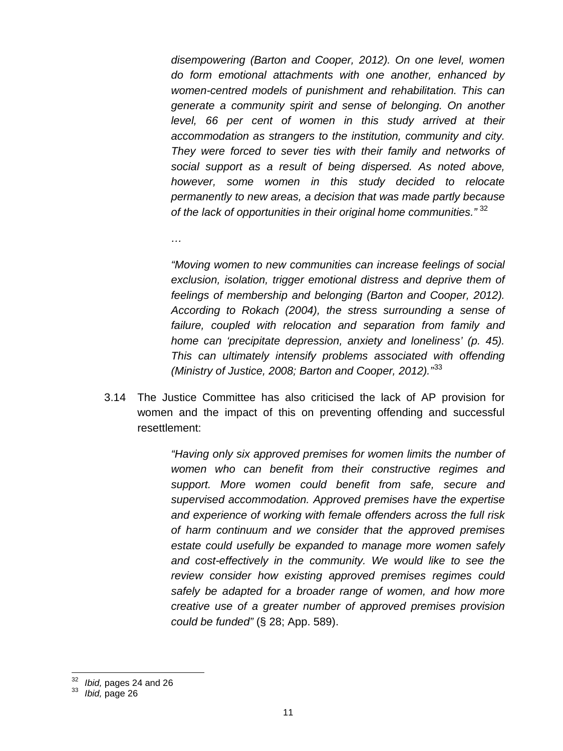*disempowering (Barton and Cooper, 2012). On one level, women do form emotional attachments with one another, enhanced by women-centred models of punishment and rehabilitation. This can generate a community spirit and sense of belonging. On another level, 66 per cent of women in this study arrived at their accommodation as strangers to the institution, community and city. They were forced to sever ties with their family and networks of social support as a result of being dispersed. As noted above, however, some women in this study decided to relocate permanently to new areas, a decision that was made partly because of the lack of opportunities in their original home communities."* [32](#page-10-0)

*"Moving women to new communities can increase feelings of social exclusion, isolation, trigger emotional distress and deprive them of feelings of membership and belonging (Barton and Cooper, 2012). According to Rokach (2004), the stress surrounding a sense of failure, coupled with relocation and separation from family and home can 'precipitate depression, anxiety and loneliness' (p. 45). This can ultimately intensify problems associated with offending (Ministry of Justice, 2008; Barton and Cooper, 2012)."* [33](#page-10-1)

3.14 The Justice Committee has also criticised the lack of AP provision for women and the impact of this on preventing offending and successful resettlement:

> *"Having only six approved premises for women limits the number of women who can benefit from their constructive regimes and support. More women could benefit from safe, secure and supervised accommodation. Approved premises have the expertise and experience of working with female offenders across the full risk of harm continuum and we consider that the approved premises estate could usefully be expanded to manage more women safely and cost-effectively in the community. We would like to see the review consider how existing approved premises regimes could safely be adapted for a broader range of women, and how more creative use of a greater number of approved premises provision could be funded"* (§ 28; App. 589).

*…*

<span id="page-10-1"></span><span id="page-10-0"></span><sup>32</sup> *Ibid,* pages 24 and 26 <sup>33</sup> *Ibid,* page 26 32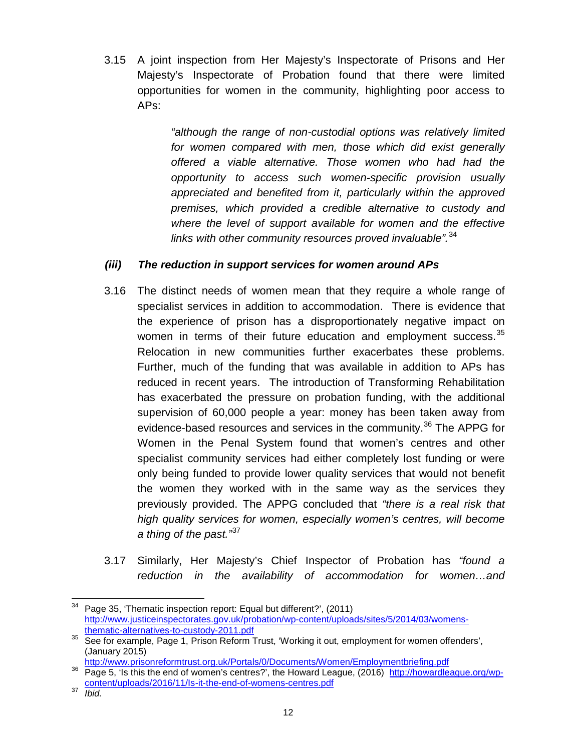3.15 A joint inspection from Her Majesty's Inspectorate of Prisons and Her Majesty's Inspectorate of Probation found that there were limited opportunities for women in the community, highlighting poor access to APs:

> *"although the range of non-custodial options was relatively limited for women compared with men, those which did exist generally offered a viable alternative. Those women who had had the opportunity to access such women-specific provision usually appreciated and benefited from it, particularly within the approved premises, which provided a credible alternative to custody and where the level of support available for women and the effective links with other community resources proved invaluable".* [34](#page-11-0)

#### *(iii) The reduction in support services for women around APs*

- 3.16 The distinct needs of women mean that they require a whole range of specialist services in addition to accommodation. There is evidence that the experience of prison has a disproportionately negative impact on women in terms of their future education and employment success.<sup>[35](#page-11-1)</sup> Relocation in new communities further exacerbates these problems. Further, much of the funding that was available in addition to APs has reduced in recent years. The introduction of Transforming Rehabilitation has exacerbated the pressure on probation funding, with the additional supervision of 60,000 people a year: money has been taken away from evidence-based resources and services in the community.<sup>[36](#page-11-2)</sup> The APPG for Women in the Penal System found that women's centres and other specialist community services had either completely lost funding or were only being funded to provide lower quality services that would not benefit the women they worked with in the same way as the services they previously provided. The APPG concluded that *"there is a real risk that high quality services for women, especially women's centres, will become a thing of the past."*[37](#page-11-3)
- 3.17 Similarly, Her Majesty's Chief Inspector of Probation has *"found a reduction in the availability of accommodation for women…and*

<span id="page-11-0"></span>Page 35, 'Thematic inspection report: Equal but different?', (2011) [http://www.justiceinspectorates.gov.uk/probation/wp-content/uploads/sites/5/2014/03/womens-](http://www.justiceinspectorates.gov.uk/probation/wp-content/uploads/sites/5/2014/03/womens-thematic-alternatives-to-custody-2011.pdf) $\overline{a}$ 

<span id="page-11-1"></span><sup>&</sup>lt;sup>35</sup> See for example, Page 1, Prison Reform Trust, 'Working it out, employment for women offenders', (January 2015)<br>http://www.prisonreformtrust.org.uk/Portals/0/Documents/Women/Employmentbriefing.pdf

<span id="page-11-2"></span>http://www.prisonreform.com/enters/womenters/womenters/woments/woments/womenters/womenters/womenters/womentes. [content/uploads/2016/11/Is-it-the-end-of-womens-centres.pdf](http://howardleague.org/wp-content/uploads/2016/11/Is-it-the-end-of-womens-centres.pdf) <sup>37</sup> *Ibid.*

<span id="page-11-3"></span>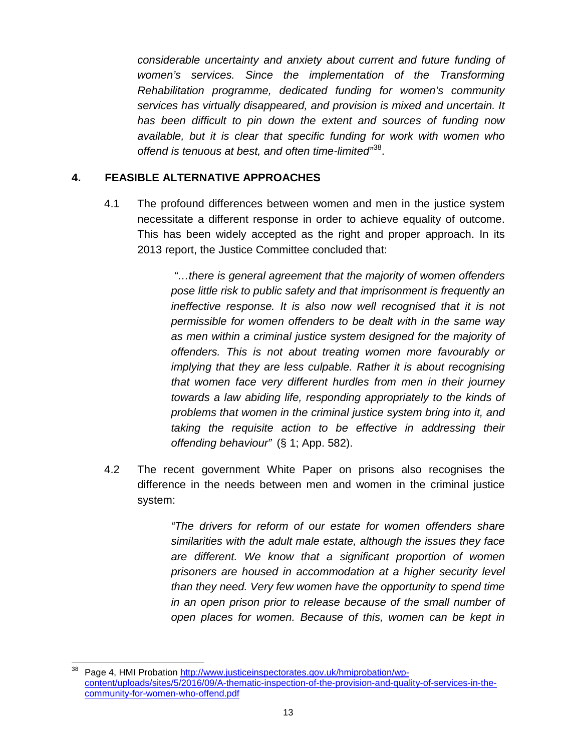*considerable uncertainty and anxiety about current and future funding of women's services. Since the implementation of the Transforming Rehabilitation programme, dedicated funding for women's community services has virtually disappeared, and provision is mixed and uncertain. It has been difficult to pin down the extent and sources of funding now available, but it is clear that specific funding for work with women who offend is tenuous at best, and often time-limited"*[38.](#page-12-0)

### **4. FEASIBLE ALTERNATIVE APPROACHES**

4.1 The profound differences between women and men in the justice system necessitate a different response in order to achieve equality of outcome. This has been widely accepted as the right and proper approach. In its 2013 report, the Justice Committee concluded that:

> *"…there is general agreement that the majority of women offenders pose little risk to public safety and that imprisonment is frequently an ineffective response. It is also now well recognised that it is not permissible for women offenders to be dealt with in the same way as men within a criminal justice system designed for the majority of offenders. This is not about treating women more favourably or implying that they are less culpable. Rather it is about recognising that women face very different hurdles from men in their journey towards a law abiding life, responding appropriately to the kinds of problems that women in the criminal justice system bring into it, and taking the requisite action to be effective in addressing their offending behaviour"* (§ 1; App. 582).

4.2 The recent government White Paper on prisons also recognises the difference in the needs between men and women in the criminal justice system:

> *"The drivers for reform of our estate for women offenders share similarities with the adult male estate, although the issues they face are different. We know that a significant proportion of women prisoners are housed in accommodation at a higher security level than they need. Very few women have the opportunity to spend time in an open prison prior to release because of the small number of open places for women. Because of this, women can be kept in*

<span id="page-12-0"></span>Page 4, HMI Probation [http://www.justiceinspectorates.gov.uk/hmiprobation/wp](http://www.justiceinspectorates.gov.uk/hmiprobation/wp-content/uploads/sites/5/2016/09/A-thematic-inspection-of-the-provision-and-quality-of-services-in-the-community-for-women-who-offend.pdf)[content/uploads/sites/5/2016/09/A-thematic-inspection-of-the-provision-and-quality-of-services-in-the](http://www.justiceinspectorates.gov.uk/hmiprobation/wp-content/uploads/sites/5/2016/09/A-thematic-inspection-of-the-provision-and-quality-of-services-in-the-community-for-women-who-offend.pdf)[community-for-women-who-offend.pdf](http://www.justiceinspectorates.gov.uk/hmiprobation/wp-content/uploads/sites/5/2016/09/A-thematic-inspection-of-the-provision-and-quality-of-services-in-the-community-for-women-who-offend.pdf)  38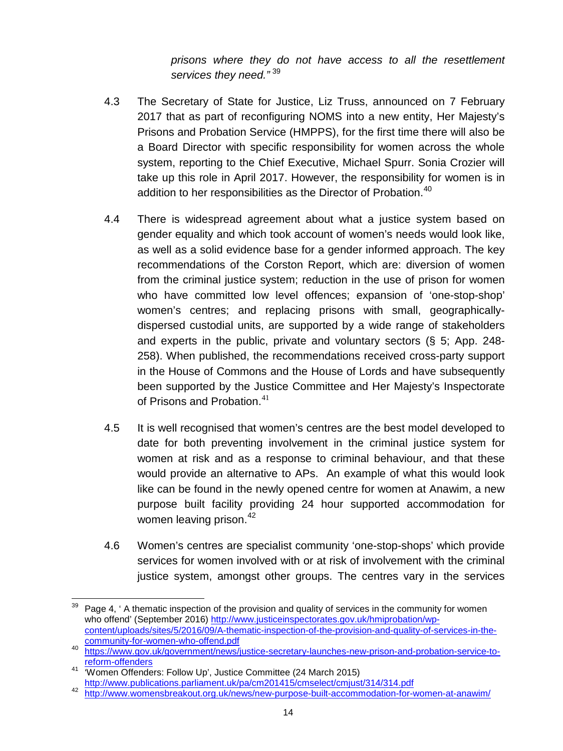*prisons where they do not have access to all the resettlement services they need."* [39](#page-13-0)

- 4.3 The Secretary of State for Justice, Liz Truss, announced on 7 February 2017 that as part of reconfiguring NOMS into a new entity, Her Majesty's Prisons and Probation Service (HMPPS), for the first time there will also be a Board Director with specific responsibility for women across the whole system, reporting to the Chief Executive, Michael Spurr. Sonia Crozier will take up this role in April 2017. However, the responsibility for women is in addition to her responsibilities as the Director of Probation.<sup>[40](#page-13-1)</sup>
- 4.4 There is widespread agreement about what a justice system based on gender equality and which took account of women's needs would look like, as well as a solid evidence base for a gender informed approach. The key recommendations of the Corston Report, which are: diversion of women from the criminal justice system; reduction in the use of prison for women who have committed low level offences; expansion of 'one-stop-shop' women's centres; and replacing prisons with small, geographicallydispersed custodial units, are supported by a wide range of stakeholders and experts in the public, private and voluntary sectors (§ 5; App. 248- 258). When published, the recommendations received cross-party support in the House of Commons and the House of Lords and have subsequently been supported by the Justice Committee and Her Majesty's Inspectorate of Prisons and Probation.<sup>[41](#page-13-2)</sup>
- 4.5 It is well recognised that women's centres are the best model developed to date for both preventing involvement in the criminal justice system for women at risk and as a response to criminal behaviour, and that these would provide an alternative to APs. An example of what this would look like can be found in the newly opened centre for women at Anawim, a new purpose built facility providing 24 hour supported accommodation for women leaving prison.<sup>[42](#page-13-3)</sup>
- 4.6 Women's centres are specialist community 'one-stop-shops' which provide services for women involved with or at risk of involvement with the criminal justice system, amongst other groups. The centres vary in the services

<span id="page-13-0"></span>Page 4, ' A thematic inspection of the provision and quality of services in the community for women who offend' (September 2016) [http://www.justiceinspectorates.gov.uk/hmiprobation/wp](http://www.justiceinspectorates.gov.uk/hmiprobation/wp-content/uploads/sites/5/2016/09/A-thematic-inspection-of-the-provision-and-quality-of-services-in-the-community-for-women-who-offend.pdf)[content/uploads/sites/5/2016/09/A-thematic-inspection-of-the-provision-and-quality-of-services-in-the-](http://www.justiceinspectorates.gov.uk/hmiprobation/wp-content/uploads/sites/5/2016/09/A-thematic-inspection-of-the-provision-and-quality-of-services-in-the-community-for-women-who-offend.pdf) $\overline{a}$ 

<span id="page-13-1"></span>and the munitimary for-women-who-offend-who-offendies-secretary-launches-new-prison-and-probation-service-to-<br>[https://www.gov.uk/government/news/justice-secretary-launches-new-prison-and-probation-service-to](https://www.gov.uk/government/news/justice-secretary-launches-new-prison-and-probation-service-to-reform-offenders)[reform-offenders](https://www.gov.uk/government/news/justice-secretary-launches-new-prison-and-probation-service-to-reform-offenders)

<span id="page-13-2"></span>Women Offenders: Follow Up', Justice Committee (24 March 2015)<br>http://www.publications.parliament.uk/pa/cm201415/cmselect/cmjust/314/314.pdf

<span id="page-13-3"></span><sup>42</sup> <http://www.womensbreakout.org.uk/news/new-purpose-built-accommodation-for-women-at-anawim/>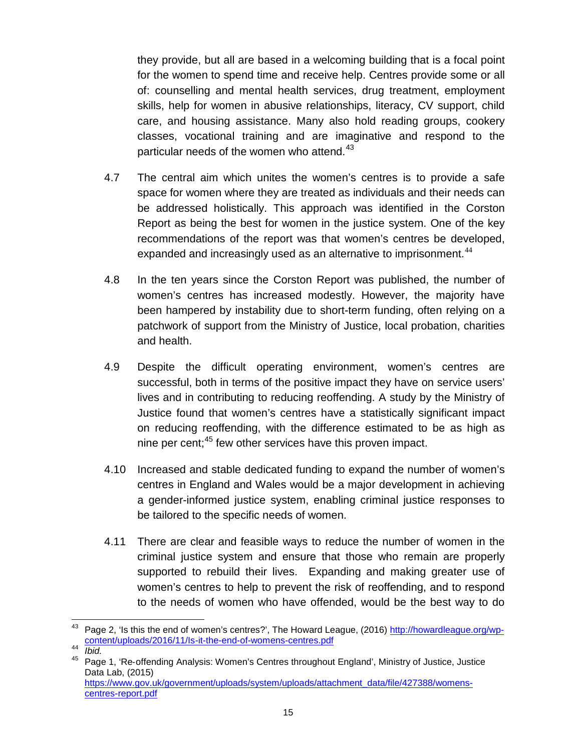they provide, but all are based in a welcoming building that is a focal point for the women to spend time and receive help. Centres provide some or all of: counselling and mental health services, drug treatment, employment skills, help for women in abusive relationships, literacy, CV support, child care, and housing assistance. Many also hold reading groups, cookery classes, vocational training and are imaginative and respond to the particular needs of the women who attend.<sup>[43](#page-14-0)</sup>

- 4.7 The central aim which unites the women's centres is to provide a safe space for women where they are treated as individuals and their needs can be addressed holistically. This approach was identified in the Corston Report as being the best for women in the justice system. One of the key recommendations of the report was that women's centres be developed, expanded and increasingly used as an alternative to imprisonment. $^{44}$  $^{44}$  $^{44}$
- 4.8 In the ten years since the Corston Report was published, the number of women's centres has increased modestly. However, the majority have been hampered by instability due to short-term funding, often relying on a patchwork of support from the Ministry of Justice, local probation, charities and health.
- 4.9 Despite the difficult operating environment, women's centres are successful, both in terms of the positive impact they have on service users' lives and in contributing to reducing reoffending. A study by the Ministry of Justice found that women's centres have a statistically significant impact on reducing reoffending, with the difference estimated to be as high as nine per cent; [45](#page-14-2) few other services have this proven impact.
- 4.10 Increased and stable dedicated funding to expand the number of women's centres in England and Wales would be a major development in achieving a gender-informed justice system, enabling criminal justice responses to be tailored to the specific needs of women.
- 4.11 There are clear and feasible ways to reduce the number of women in the criminal justice system and ensure that those who remain are properly supported to rebuild their lives. Expanding and making greater use of women's centres to help to prevent the risk of reoffending, and to respond to the needs of women who have offended, would be the best way to do

<span id="page-14-0"></span><sup>&</sup>lt;sup>43</sup> Page 2, 'Is this the end of women's centres?', The Howard League, (2016) http://howardleague.org/wp-<br>content/uploads/2016/11/ls-it-the-end-of-womens-centres.pdf

<span id="page-14-2"></span><span id="page-14-1"></span>Fortent approads/2016/11/Is-it-the-end-of-womens-centres.pdf<br>45 Page 1, 'Re-offending Analysis: Women's Centres throughout England', Ministry of Justice, Justice Data Lab, (2015) [https://www.gov.uk/government/uploads/system/uploads/attachment\\_data/file/427388/womens](https://www.gov.uk/government/uploads/system/uploads/attachment_data/file/427388/womens-centres-report.pdf)[centres-report.pdf](https://www.gov.uk/government/uploads/system/uploads/attachment_data/file/427388/womens-centres-report.pdf)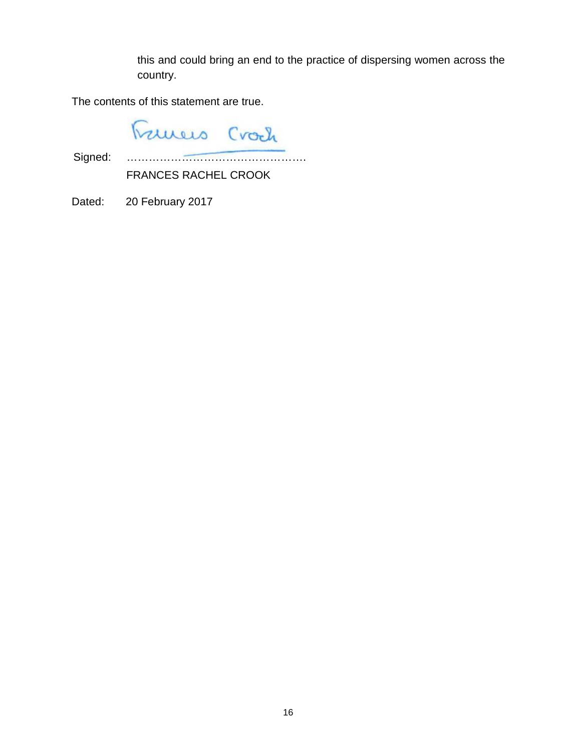this and could bring an end to the practice of dispersing women across the country.

The contents of this statement are true.

Frances Crach

Signed: ………………………………………….

FRANCES RACHEL CROOK

Dated: 20 February 2017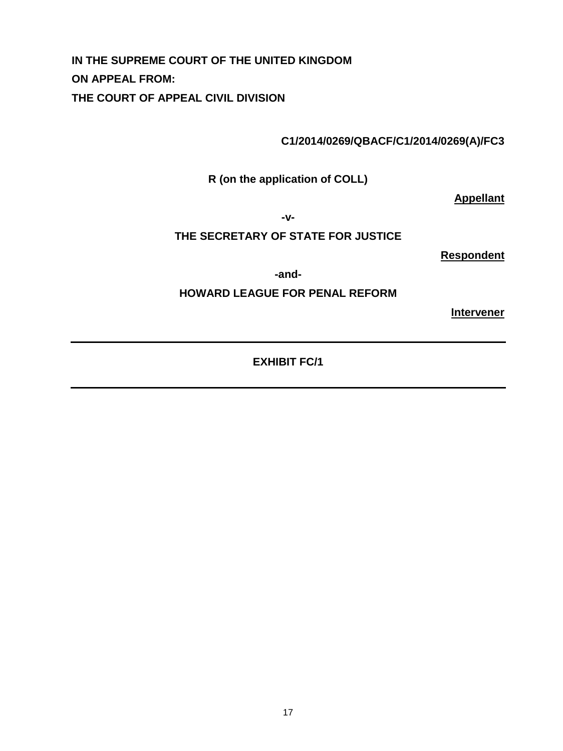**IN THE SUPREME COURT OF THE UNITED KINGDOM ON APPEAL FROM: THE COURT OF APPEAL CIVIL DIVISION**

**C1/2014/0269/QBACF/C1/2014/0269(A)/FC3**

**R (on the application of COLL)**

**Appellant**

**-v-**

#### **THE SECRETARY OF STATE FOR JUSTICE**

**Respondent**

**-and-**

#### **HOWARD LEAGUE FOR PENAL REFORM**

**Intervener**

**EXHIBIT FC/1**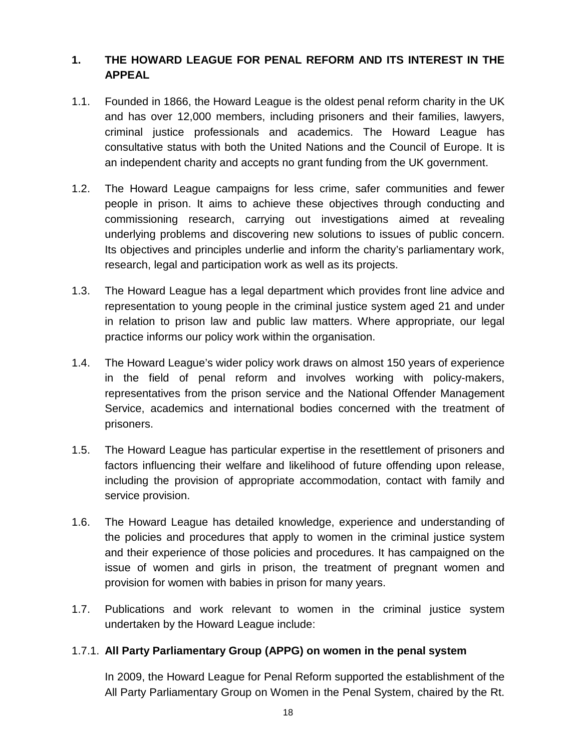## **1. THE HOWARD LEAGUE FOR PENAL REFORM AND ITS INTEREST IN THE APPEAL**

- 1.1. Founded in 1866, the Howard League is the oldest penal reform charity in the UK and has over 12,000 members, including prisoners and their families, lawyers, criminal justice professionals and academics. The Howard League has consultative status with both the United Nations and the Council of Europe. It is an independent charity and accepts no grant funding from the UK government.
- 1.2. The Howard League campaigns for less crime, safer communities and fewer people in prison. It aims to achieve these objectives through conducting and commissioning research, carrying out investigations aimed at revealing underlying problems and discovering new solutions to issues of public concern. Its objectives and principles underlie and inform the charity's parliamentary work, research, legal and participation work as well as its projects.
- 1.3. The Howard League has a legal department which provides front line advice and representation to young people in the criminal justice system aged 21 and under in relation to prison law and public law matters. Where appropriate, our legal practice informs our policy work within the organisation.
- 1.4. The Howard League's wider policy work draws on almost 150 years of experience in the field of penal reform and involves working with policy-makers, representatives from the prison service and the National Offender Management Service, academics and international bodies concerned with the treatment of prisoners.
- 1.5. The Howard League has particular expertise in the resettlement of prisoners and factors influencing their welfare and likelihood of future offending upon release, including the provision of appropriate accommodation, contact with family and service provision.
- 1.6. The Howard League has detailed knowledge, experience and understanding of the policies and procedures that apply to women in the criminal justice system and their experience of those policies and procedures. It has campaigned on the issue of women and girls in prison, the treatment of pregnant women and provision for women with babies in prison for many years.
- 1.7. Publications and work relevant to women in the criminal justice system undertaken by the Howard League include:

## 1.7.1. **All Party Parliamentary Group (APPG) on women in the penal system**

In 2009, the Howard League for Penal Reform supported the establishment of the All Party Parliamentary Group on Women in the Penal System, chaired by the Rt.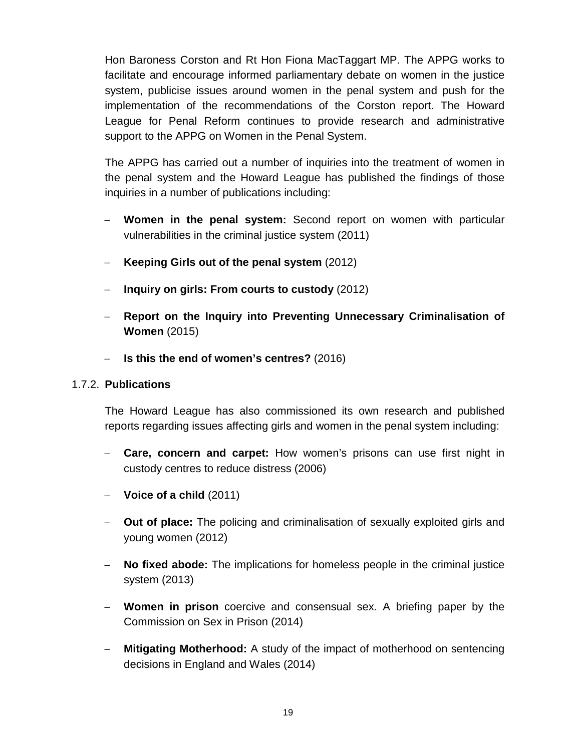Hon Baroness Corston and Rt Hon Fiona MacTaggart MP. The APPG works to facilitate and encourage informed parliamentary debate on women in the justice system, publicise issues around women in the penal system and push for the implementation of the recommendations of the Corston report. The Howard League for Penal Reform continues to provide research and administrative support to the APPG on Women in the Penal System.

The APPG has carried out a number of inquiries into the treatment of women in the penal system and the Howard League has published the findings of those inquiries in a number of publications including:

- − **Women in the penal system:** Second report on women with particular vulnerabilities in the criminal justice system (2011)
- − **Keeping Girls out of the penal system** (2012)
- − **Inquiry on girls: From courts to custody** (2012)
- − **Report on the Inquiry into Preventing Unnecessary Criminalisation of Women** (2015)
- − **Is this the end of women's centres?** (2016)

#### 1.7.2. **Publications**

The Howard League has also commissioned its own research and published reports regarding issues affecting girls and women in the penal system including:

- − **Care, concern and carpet:** How women's prisons can use first night in custody centres to reduce distress (2006)
- − **Voice of a child** (2011)
- − **Out of place:** The policing and criminalisation of sexually exploited girls and young women (2012)
- − **No fixed abode:** The implications for homeless people in the criminal justice system (2013)
- − **Women in prison** coercive and consensual sex. A briefing paper by the Commission on Sex in Prison (2014)
- − **Mitigating Motherhood:** A study of the impact of motherhood on sentencing decisions in England and Wales (2014)